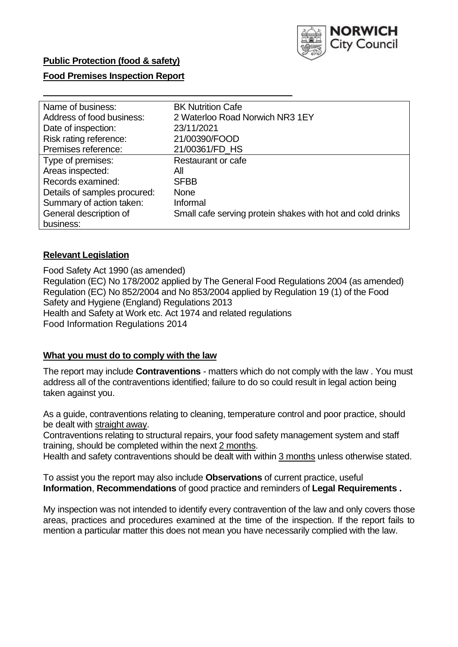

## **Food Premises Inspection Report**

| Name of business:            | <b>BK Nutrition Cafe</b>                                   |
|------------------------------|------------------------------------------------------------|
| Address of food business:    | 2 Waterloo Road Norwich NR3 1EY                            |
| Date of inspection:          | 23/11/2021                                                 |
| Risk rating reference:       | 21/00390/FOOD                                              |
| Premises reference:          | 21/00361/FD HS                                             |
| Type of premises:            | Restaurant or cafe                                         |
| Areas inspected:             | All                                                        |
| Records examined:            | <b>SFBB</b>                                                |
| Details of samples procured: | <b>None</b>                                                |
| Summary of action taken:     | Informal                                                   |
| General description of       | Small cafe serving protein shakes with hot and cold drinks |
| business:                    |                                                            |

### **Relevant Legislation**

 Food Safety Act 1990 (as amended) Regulation (EC) No 178/2002 applied by The General Food Regulations 2004 (as amended) Regulation (EC) No 852/2004 and No 853/2004 applied by Regulation 19 (1) of the Food Safety and Hygiene (England) Regulations 2013 Health and Safety at Work etc. Act 1974 and related regulations Food Information Regulations 2014

### **What you must do to comply with the law**

 The report may include **Contraventions** - matters which do not comply with the law . You must address all of the contraventions identified; failure to do so could result in legal action being taken against you.

 As a guide, contraventions relating to cleaning, temperature control and poor practice, should be dealt with straight away.

 Contraventions relating to structural repairs, your food safety management system and staff training, should be completed within the next 2 months.

Health and safety contraventions should be dealt with within 3 months unless otherwise stated.

 To assist you the report may also include **Observations** of current practice, useful **Information**, **Recommendations** of good practice and reminders of **Legal Requirements .** 

 My inspection was not intended to identify every contravention of the law and only covers those areas, practices and procedures examined at the time of the inspection. If the report fails to mention a particular matter this does not mean you have necessarily complied with the law.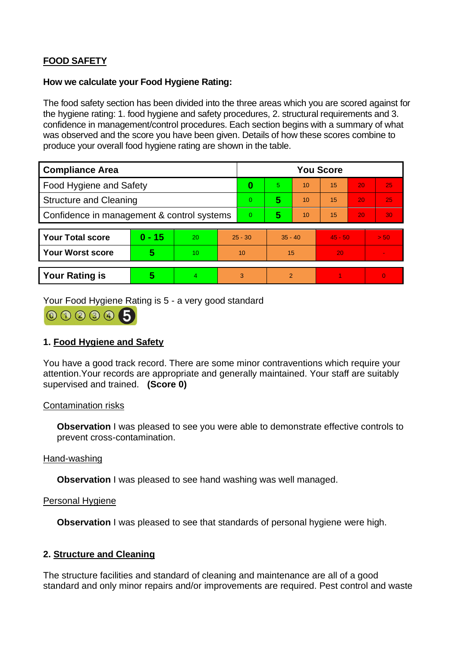# **FOOD SAFETY**

### **How we calculate your Food Hygiene Rating:**

 The food safety section has been divided into the three areas which you are scored against for the hygiene rating: 1. food hygiene and safety procedures, 2. structural requirements and 3. confidence in management/control procedures. Each section begins with a summary of what was observed and the score you have been given. Details of how these scores combine to produce your overall food hygiene rating are shown in the table.

| <b>Compliance Area</b>                     |          |    |                | <b>You Score</b> |                |    |           |    |                |  |  |
|--------------------------------------------|----------|----|----------------|------------------|----------------|----|-----------|----|----------------|--|--|
| Food Hygiene and Safety                    |          |    | 0              | 5.               | 10             | 15 | 20        | 25 |                |  |  |
| <b>Structure and Cleaning</b>              |          |    | $\Omega$       | 5                | 10             | 15 | 20        | 25 |                |  |  |
| Confidence in management & control systems |          |    | $\overline{0}$ | 5                | 10             | 15 | 20        | 30 |                |  |  |
|                                            |          |    |                |                  |                |    |           |    |                |  |  |
| <b>Your Total score</b>                    | $0 - 15$ | 20 | $25 - 30$      |                  | $35 - 40$      |    | $45 - 50$ |    | > 50           |  |  |
| <b>Your Worst score</b>                    | 5        | 10 | 10             |                  | 15             |    | 20        |    |                |  |  |
|                                            |          |    |                |                  |                |    |           |    |                |  |  |
| <b>Your Rating is</b>                      | 5        | 4. | 3              |                  | $\overline{2}$ |    |           |    | $\overline{0}$ |  |  |

Your Food Hygiene Rating is 5 - a very good standard



## **1. Food Hygiene and Safety**

You have a good track record. There are some minor contraventions which require your attention.Your records are appropriate and generally maintained. Your staff are suitably supervised and trained. **(Score 0)** 

### Contamination risks

**Observation** I was pleased to see you were able to demonstrate effective controls to prevent cross-contamination.

#### Hand-washing

**Observation** I was pleased to see hand washing was well managed.

#### Personal Hygiene

**Observation** I was pleased to see that standards of personal hygiene were high.

### **2. Structure and Cleaning**

The structure facilities and standard of cleaning and maintenance are all of a good standard and only minor repairs and/or improvements are required. Pest control and waste